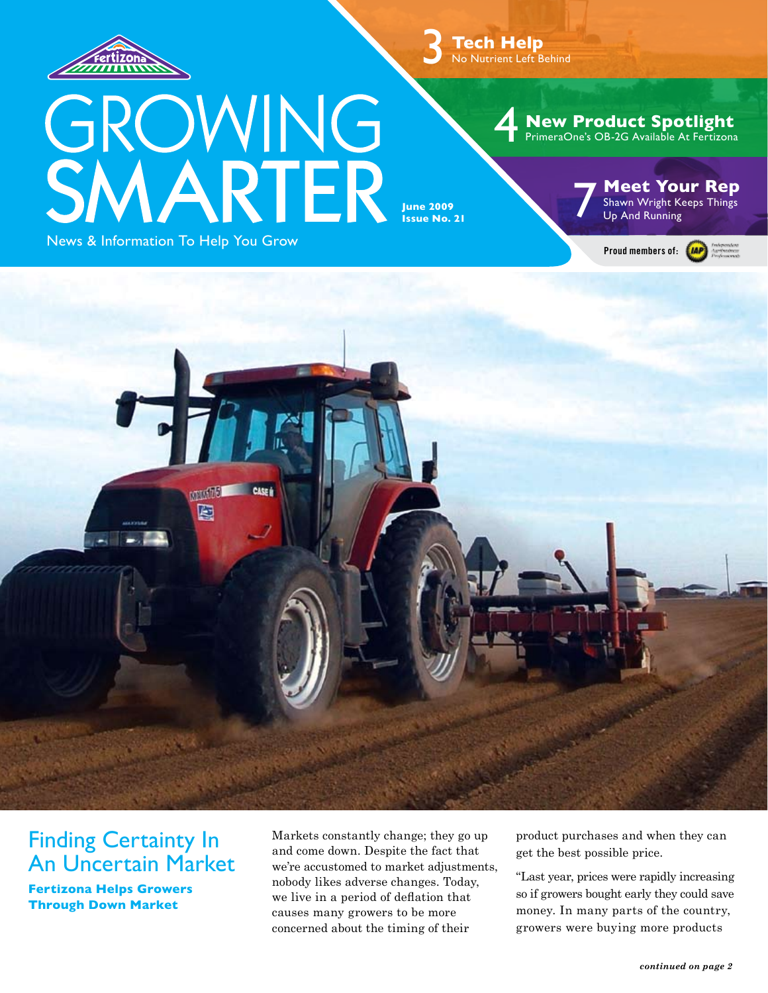

3 **Tech Help** No Nutrient Left Behind

# GROWING<br>SMARTER News & Information To Help You Grow

**June 2009 Issue No. 21** 

### **Meet Your Rep** Shawn Wright Keeps Things

Up And Running

4 **New Product Spotlight** PrimeraOne's OB-2G Available At Fertizona



### Finding Certainty In An Uncertain Market

**Fertizona Helps Growers Through Down Market**

Markets constantly change; they go up and come down. Despite the fact that we're accustomed to market adjustments, nobody likes adverse changes. Today, we live in a period of deflation that causes many growers to be more concerned about the timing of their

product purchases and when they can get the best possible price.

"Last year, prices were rapidly increasing so if growers bought early they could save money. In many parts of the country, growers were buying more products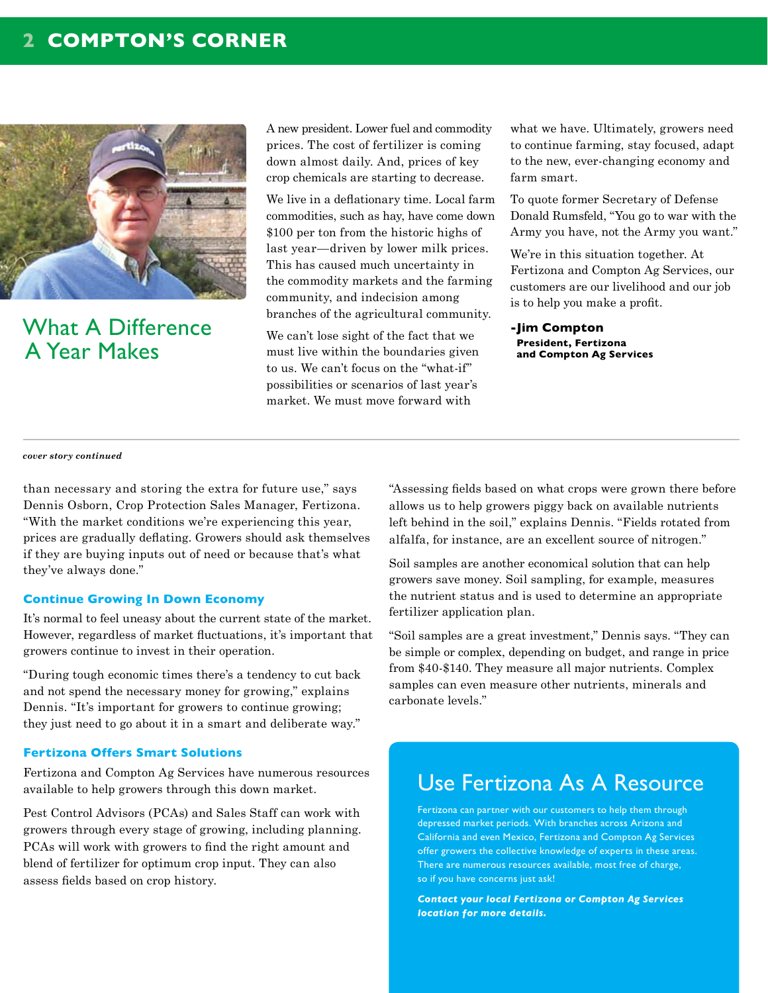

What A Difference A Year Makes

A new president. Lower fuel and commodity prices. The cost of fertilizer is coming down almost daily. And, prices of key crop chemicals are starting to decrease.

We live in a deflationary time. Local farm commodities, such as hay, have come down \$100 per ton from the historic highs of last year—driven by lower milk prices. This has caused much uncertainty in the commodity markets and the farming community, and indecision among branches of the agricultural community.

We can't lose sight of the fact that we must live within the boundaries given to us. We can't focus on the "what-if" possibilities or scenarios of last year's market. We must move forward with

what we have. Ultimately, growers need to continue farming, stay focused, adapt to the new, ever-changing economy and farm smart.

To quote former Secretary of Defense Donald Rumsfeld, "You go to war with the Army you have, not the Army you want."

We're in this situation together. At Fertizona and Compton Ag Services, our customers are our livelihood and our job is to help you make a profit.

**-Jim Compton President, Fertizona and Compton Ag Services**

#### *cover story continued*

than necessary and storing the extra for future use," says Dennis Osborn, Crop Protection Sales Manager, Fertizona. "With the market conditions we're experiencing this year, prices are gradually deflating. Growers should ask themselves if they are buying inputs out of need or because that's what they've always done."

### **Continue Growing In Down Economy**

It's normal to feel uneasy about the current state of the market. However, regardless of market fluctuations, it's important that growers continue to invest in their operation.

"During tough economic times there's a tendency to cut back and not spend the necessary money for growing," explains Dennis. "It's important for growers to continue growing; they just need to go about it in a smart and deliberate way."

### **Fertizona Offers Smart Solutions**

Fertizona and Compton Ag Services have numerous resources available to help growers through this down market.

Pest Control Advisors (PCAs) and Sales Staff can work with growers through every stage of growing, including planning. PCAs will work with growers to find the right amount and blend of fertilizer for optimum crop input. They can also assess fields based on crop history.

"Assessing fields based on what crops were grown there before allows us to help growers piggy back on available nutrients left behind in the soil," explains Dennis. "Fields rotated from alfalfa, for instance, are an excellent source of nitrogen."

Soil samples are another economical solution that can help growers save money. Soil sampling, for example, measures the nutrient status and is used to determine an appropriate fertilizer application plan.

"Soil samples are a great investment," Dennis says. "They can be simple or complex, depending on budget, and range in price from \$40-\$140. They measure all major nutrients. Complex samples can even measure other nutrients, minerals and carbonate levels."

### Use Fertizona As A Resource

Fertizona can partner with our customers to help them through depressed market periods. With branches across Arizona and California and even Mexico, Fertizona and Compton Ag Services offer growers the collective knowledge of experts in these areas. There are numerous resources available, most free of charge, so if you have concerns just ask!

*Contact your local Fertizona or Compton Ag Services location for more details.*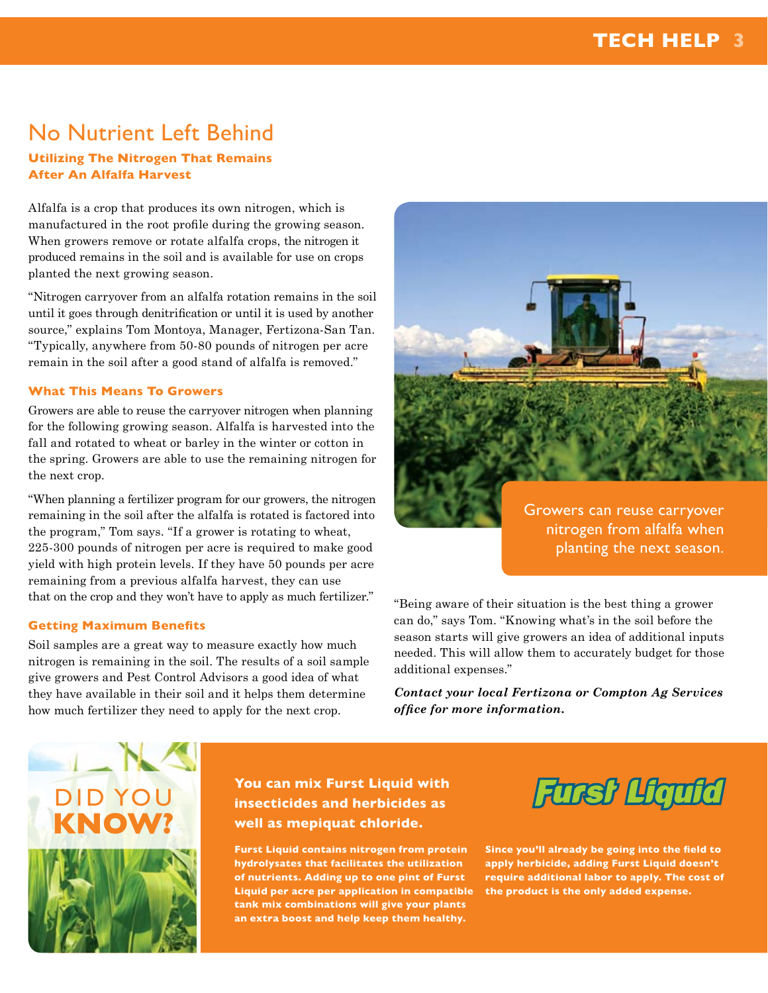### No Nutrient Left Behind

### **Utilizing The Nitrogen That Remains After An Alfalfa Harvest**

Alfalfa is a crop that produces its own nitrogen, which is manufactured in the root profile during the growing season. When growers remove or rotate alfalfa crops, the nitrogen it produced remains in the soil and is available for use on crops planted the next growing season.

"Nitrogen carryover from an alfalfa rotation remains in the soil until it goes through denitrification or until it is used by another source," explains Tom Montoya, Manager, Fertizona-San Tan. "Typically, anywhere from 50-80 pounds of nitrogen per acre remain in the soil after a good stand of alfalfa is removed."

### **What This Means To Growers**

Growers are able to reuse the carryover nitrogen when planning for the following growing season. Alfalfa is harvested into the fall and rotated to wheat or barley in the winter or cotton in the spring. Growers are able to use the remaining nitrogen for the next crop.

"When planning a fertilizer program for our growers, the nitrogen remaining in the soil after the alfalfa is rotated is factored into the program," Tom says. "If a grower is rotating to wheat, 225-300 pounds of nitrogen per acre is required to make good yield with high protein levels. If they have 50 pounds per acre remaining from a previous alfalfa harvest, they can use that on the crop and they won't have to apply as much fertilizer."

### **Getting Maximum Benefits**

Soil samples are a great way to measure exactly how much nitrogen is remaining in the soil. The results of a soil sample give growers and Pest Control Advisors a good idea of what they have available in their soil and it helps them determine how much fertilizer they need to apply for the next crop.



Growers can reuse carryover nitrogen from alfalfa when planting the next season.

"Being aware of their situation is the best thing a grower can do," says Tom. "Knowing what's in the soil before the season starts will give growers an idea of additional inputs needed. This will allow them to accurately budget for those additional expenses."

*Contact your local Fertizona or Compton Ag Services office for more information.*



**You can mix Furst Liquid with insecticides and herbicides as well as mepiquat chloride.** 

**Furst Liquid contains nitrogen from protein hydrolysates that facilitates the utilization of nutrients. Adding up to one pint of Furst Liquid per acre per application in compatible tank mix combinations will give your plants an extra boost and help keep them healthy.** 



**Since you'll already be going into the field to apply herbicide, adding Furst Liquid doesn't require additional labor to apply. The cost of the product is the only added expense.**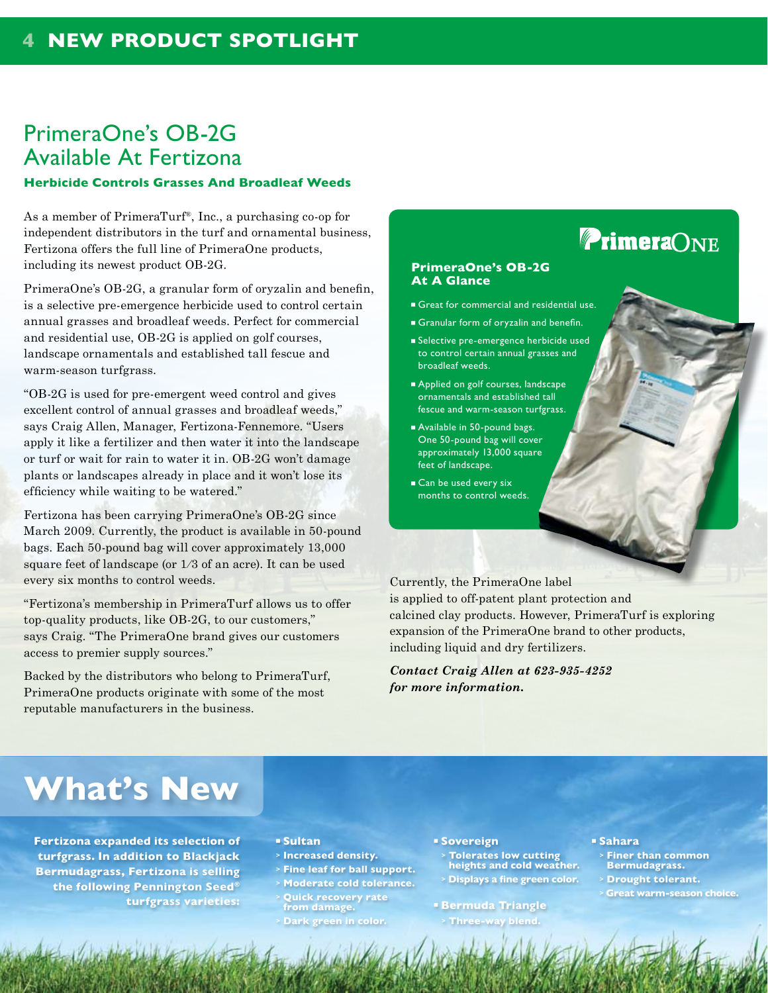### PrimeraOne's OB-2G Available At Fertizona

### **Herbicide Controls Grasses And Broadleaf Weeds**

As a member of PrimeraTurf®, Inc., a purchasing co-op for independent distributors in the turf and ornamental business, Fertizona offers the full line of PrimeraOne products, including its newest product OB-2G.

PrimeraOne's OB-2G, a granular form of oryzalin and benefin, is a selective pre-emergence herbicide used to control certain annual grasses and broadleaf weeds. Perfect for commercial and residential use, OB-2G is applied on golf courses, landscape ornamentals and established tall fescue and warm-season turfgrass.

"OB-2G is used for pre-emergent weed control and gives excellent control of annual grasses and broadleaf weeds," says Craig Allen, Manager, Fertizona-Fennemore. "Users apply it like a fertilizer and then water it into the landscape or turf or wait for rain to water it in. OB-2G won't damage plants or landscapes already in place and it won't lose its efficiency while waiting to be watered."

Fertizona has been carrying PrimeraOne's OB-2G since March 2009. Currently, the product is available in 50-pound bags. Each 50-pound bag will cover approximately 13,000 square feet of landscape (or 1∕3 of an acre). It can be used every six months to control weeds.

"Fertizona's membership in PrimeraTurf allows us to offer top-quality products, like OB-2G, to our customers," says Craig. "The PrimeraOne brand gives our customers access to premier supply sources."

Backed by the distributors who belong to PrimeraTurf, PrimeraOne products originate with some of the most reputable manufacturers in the business.

### **PrimeraONE PrimeraOne's OB-2G At A Glance**

- Great for commercial and residential use.
- Granular form of oryzalin and benefin.
- Selective pre-emergence herbicide used to control certain annual grasses and broadleaf weeds.
- Applied on golf courses, landscape ornamentals and established tall fescue and warm-season turfgrass.
- Available in 50-pound bags. One 50-pound bag will cover approximately 13,000 square feet of landscape.
- Can be used every six months to control weeds.

Currently, the PrimeraOne label is applied to off-patent plant protection and calcined clay products. However, PrimeraTurf is exploring expansion of the PrimeraOne brand to other products, including liquid and dry fertilizers.

*Contact Craig Allen at 623-935-4252 for more information.*

## **What's New**

**Fertizona expanded its selection of turfgrass. In addition to Blackjack Bermudagrass, Fertizona is selling the following Pennington Seed® turfgrass varieties:**

#### **Sultan**

- **> Increased density.**
- **> Fine leaf for ball support.**
- **> Moderate cold tolerance.**
- **<sup>&</sup>gt; Quick recovery rate from damage.**
- **> Dark green in color.**

#### **Sovereign**

**<sup>&</sup>gt; Tolerates low cutting heights and cold weather. <sup>&</sup>gt; Displays a fine green color.**

**Bermuda Triangle > Three-way blend.**

#### **Sahara**

- **<sup>&</sup>gt; Finer than common Bermudagrass.**
- **> Drought tolerant.**
- **> Great warm-season choice.**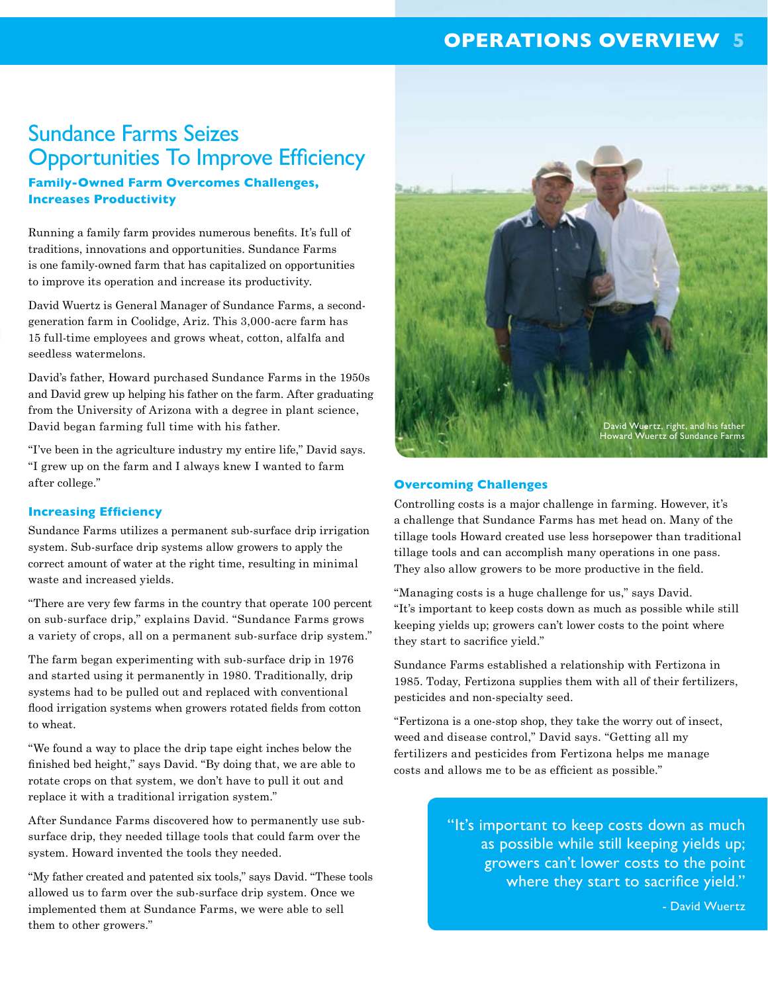### **OPERATIONS OVERVIEW 5**

### Sundance Farms Seizes Opportunities To Improve Efficiency

### **Family-Owned Farm Overcomes Challenges, Increases Productivity**

Running a family farm provides numerous benefits. It's full of traditions, innovations and opportunities. Sundance Farms is one family-owned farm that has capitalized on opportunities to improve its operation and increase its productivity.

David Wuertz is General Manager of Sundance Farms, a secondgeneration farm in Coolidge, Ariz. This 3,000-acre farm has 15 full-time employees and grows wheat, cotton, alfalfa and seedless watermelons.

David's father, Howard purchased Sundance Farms in the 1950s and David grew up helping his father on the farm. After graduating from the University of Arizona with a degree in plant science, David began farming full time with his father.

"I've been in the agriculture industry my entire life," David says. "I grew up on the farm and I always knew I wanted to farm after college."

### **Increasing Efficiency**

Sundance Farms utilizes a permanent sub-surface drip irrigation system. Sub-surface drip systems allow growers to apply the correct amount of water at the right time, resulting in minimal waste and increased yields.

"There are very few farms in the country that operate 100 percent on sub-surface drip," explains David. "Sundance Farms grows a variety of crops, all on a permanent sub-surface drip system."

The farm began experimenting with sub-surface drip in 1976 and started using it permanently in 1980. Traditionally, drip systems had to be pulled out and replaced with conventional flood irrigation systems when growers rotated fields from cotton to wheat.

"We found a way to place the drip tape eight inches below the finished bed height," says David. "By doing that, we are able to rotate crops on that system, we don't have to pull it out and replace it with a traditional irrigation system."

After Sundance Farms discovered how to permanently use subsurface drip, they needed tillage tools that could farm over the system. Howard invented the tools they needed.

"My father created and patented six tools," says David. "These tools allowed us to farm over the sub-surface drip system. Once we implemented them at Sundance Farms, we were able to sell them to other growers."



#### **Overcoming Challenges**

Controlling costs is a major challenge in farming. However, it's a challenge that Sundance Farms has met head on. Many of the tillage tools Howard created use less horsepower than traditional tillage tools and can accomplish many operations in one pass. They also allow growers to be more productive in the field.

"Managing costs is a huge challenge for us," says David. "It's important to keep costs down as much as possible while still keeping yields up; growers can't lower costs to the point where they start to sacrifice yield."

Sundance Farms established a relationship with Fertizona in 1985. Today, Fertizona supplies them with all of their fertilizers, pesticides and non-specialty seed.

"Fertizona is a one-stop shop, they take the worry out of insect, weed and disease control," David says. "Getting all my fertilizers and pesticides from Fertizona helps me manage costs and allows me to be as efficient as possible."

> "It's important to keep costs down as much as possible while still keeping yields up; growers can't lower costs to the point where they start to sacrifice yield."

> > - David Wuertz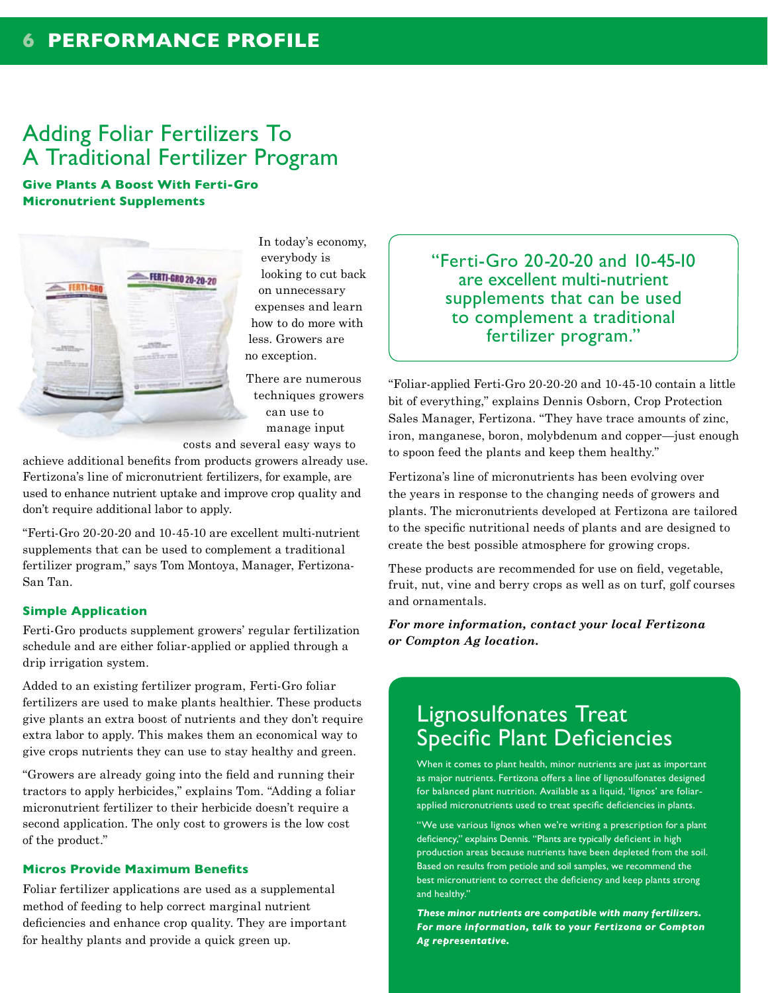### **6 PERFORMANCE PROFILE**

### Adding Foliar Fertilizers To A Traditional Fertilizer Program

**Give Plants A Boost With Ferti-Gro Micronutrient Supplements**



In today's economy, everybody is looking to cut back on unnecessary expenses and learn how to do more with less. Growers are no exception.

There are numerous techniques growers can use to manage input

costs and several easy ways to

achieve additional benefits from products growers already use. Fertizona's line of micronutrient fertilizers, for example, are used to enhance nutrient uptake and improve crop quality and don't require additional labor to apply.

"Ferti-Gro 20-20-20 and 10-45-10 are excellent multi-nutrient supplements that can be used to complement a traditional fertilizer program," says Tom Montoya, Manager, Fertizona-San Tan.

### **Simple Application**

Ferti-Gro products supplement growers' regular fertilization schedule and are either foliar-applied or applied through a drip irrigation system.

Added to an existing fertilizer program, Ferti-Gro foliar fertilizers are used to make plants healthier. These products give plants an extra boost of nutrients and they don't require extra labor to apply. This makes them an economical way to give crops nutrients they can use to stay healthy and green.

"Growers are already going into the field and running their tractors to apply herbicides," explains Tom. "Adding a foliar micronutrient fertilizer to their herbicide doesn't require a second application. The only cost to growers is the low cost of the product."

### **Micros Provide Maximum Benefits**

Foliar fertilizer applications are used as a supplemental method of feeding to help correct marginal nutrient deficiencies and enhance crop quality. They are important for healthy plants and provide a quick green up.

"Ferti-Gro 20-20-20 and 10-45-10 are excellent multi-nutrient supplements that can be used to complement a traditional fertilizer program."

"Foliar-applied Ferti-Gro 20-20-20 and 10-45-10 contain a little bit of everything," explains Dennis Osborn, Crop Protection Sales Manager, Fertizona. "They have trace amounts of zinc, iron, manganese, boron, molybdenum and copper—just enough to spoon feed the plants and keep them healthy."

Fertizona's line of micronutrients has been evolving over the years in response to the changing needs of growers and plants. The micronutrients developed at Fertizona are tailored to the specific nutritional needs of plants and are designed to create the best possible atmosphere for growing crops.

These products are recommended for use on field, vegetable, fruit, nut, vine and berry crops as well as on turf, golf courses and ornamentals.

*For more information, contact your local Fertizona or Compton Ag location.*

### Lignosulfonates Treat Specific Plant Deficiencies

When it comes to plant health, minor nutrients are just as important as major nutrients. Fertizona offers a line of lignosulfonates designed for balanced plant nutrition. Available as a liquid, 'lignos' are foliarapplied micronutrients used to treat specific deficiencies in plants.

"We use various lignos when we're writing a prescription for a plant deficiency," explains Dennis. "Plants are typically deficient in high production areas because nutrients have been depleted from the soil. Based on results from petiole and soil samples, we recommend the best micronutrient to correct the deficiency and keep plants strong and healthy."

*These minor nutrients are compatible with many fertilizers. For more information, talk to your Fertizona or Compton Ag representative.*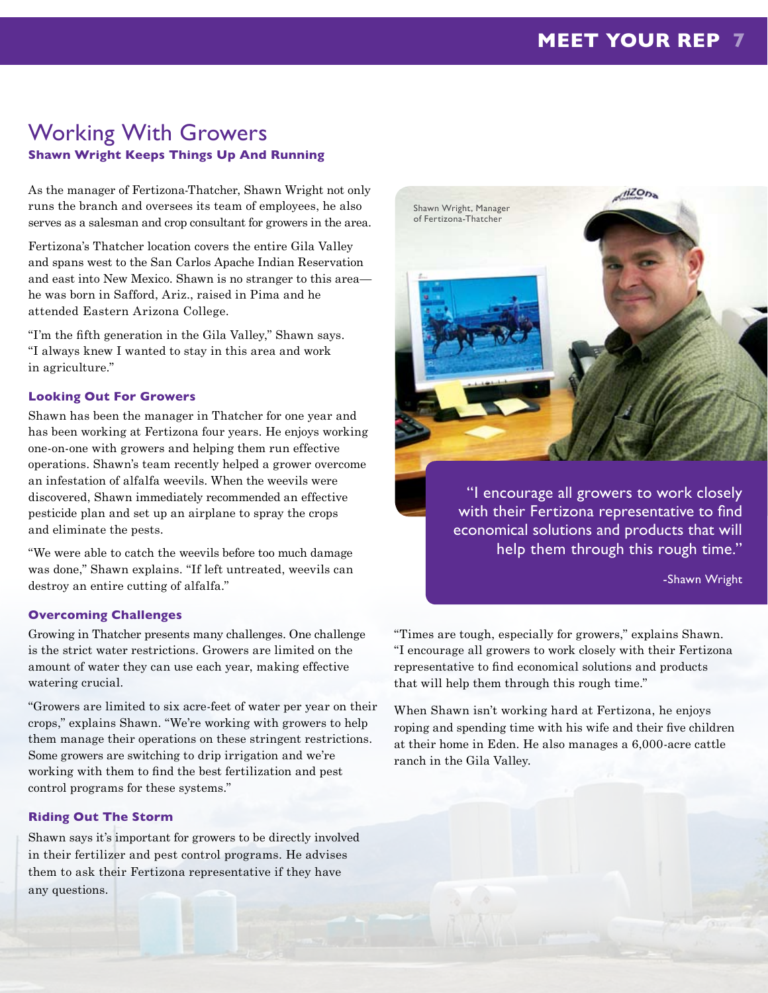### Working With Growers **Shawn Wright Keeps Things Up And Running**

As the manager of Fertizona-Thatcher, Shawn Wright not only runs the branch and oversees its team of employees, he also serves as a salesman and crop consultant for growers in the area.

Fertizona's Thatcher location covers the entire Gila Valley and spans west to the San Carlos Apache Indian Reservation and east into New Mexico. Shawn is no stranger to this area he was born in Safford, Ariz., raised in Pima and he attended Eastern Arizona College.

"I'm the fifth generation in the Gila Valley," Shawn says. "I always knew I wanted to stay in this area and work in agriculture."

### **Looking Out For Growers**

Shawn has been the manager in Thatcher for one year and has been working at Fertizona four years. He enjoys working one-on-one with growers and helping them run effective operations. Shawn's team recently helped a grower overcome an infestation of alfalfa weevils. When the weevils were discovered, Shawn immediately recommended an effective pesticide plan and set up an airplane to spray the crops and eliminate the pests.

"We were able to catch the weevils before too much damage was done," Shawn explains. "If left untreated, weevils can destroy an entire cutting of alfalfa."

### **Overcoming Challenges**

Growing in Thatcher presents many challenges. One challenge is the strict water restrictions. Growers are limited on the amount of water they can use each year, making effective watering crucial.

"Growers are limited to six acre-feet of water per year on their crops," explains Shawn. "We're working with growers to help them manage their operations on these stringent restrictions. Some growers are switching to drip irrigation and we're working with them to find the best fertilization and pest control programs for these systems."

### **Riding Out The Storm**

Shawn says it's important for growers to be directly involved in their fertilizer and pest control programs. He advises them to ask their Fertizona representative if they have any questions.



"I encourage all growers to work closely with their Fertizona representative to find economical solutions and products that will help them through this rough time."

-Shawn Wright

"Times are tough, especially for growers," explains Shawn. "I encourage all growers to work closely with their Fertizona representative to find economical solutions and products that will help them through this rough time."

When Shawn isn't working hard at Fertizona, he enjoys roping and spending time with his wife and their five children at their home in Eden. He also manages a 6,000-acre cattle ranch in the Gila Valley.